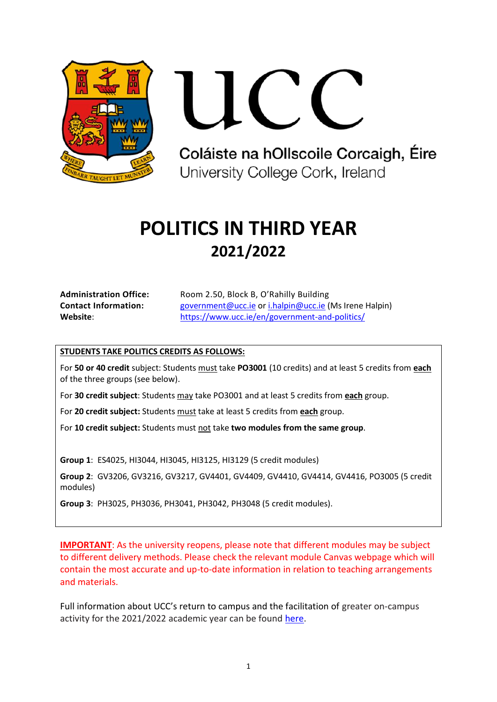

Coláiste na hOllscoile Corcaigh, Éire University College Cork, Ireland

# **POLITICS IN THIRD YEAR 2021/2022**

| <b>Administration Office:</b> | Room 2.50, Block B, O'Rahilly Building                 |
|-------------------------------|--------------------------------------------------------|
| <b>Contact Information:</b>   | government@ucc.ie or i.halpin@ucc.ie (Ms Irene Halpin) |
| Website:                      | https://www.ucc.ie/en/government-and-politics/         |

# **STUDENTS TAKE POLITICS CREDITS AS FOLLOWS:**

For **50 or 40 credit** subject: Students must take **PO3001** (10 credits) and at least 5 credits from **each** of the three groups (see below).

For **30 credit subject**: Students may take PO3001 and at least 5 credits from **each** group.

For **20 credit subject:** Students must take at least 5 credits from **each** group.

For **10 credit subject:** Students must not take **two modules from the same group**.

**Group 1**: ES4025, HI3044, HI3045, HI3125, HI3129 (5 credit modules)

**Group 2**: GV3206, GV3216, GV3217, GV4401, GV4409, GV4410, GV4414, GV4416, PO3005 (5 credit modules)

**Group 3**: PH3025, PH3036, PH3041, PH3042, PH3048 (5 credit modules).

**IMPORTANT**: As the university reopens, please note that different modules may be subject to different delivery methods. Please check the relevant module Canvas webpage which will contain the most accurate and up-to-date information in relation to teaching arrangements and materials.

Full information about UCC's return to campus and the facilitation of greater on-campus activity for the 2021/2022 academic year can be found [here.](https://www.ucc.ie/en/news/academic-year-20212022-.html)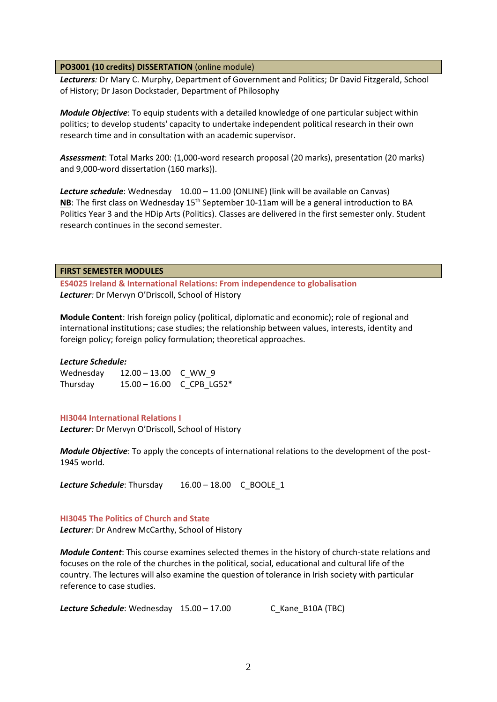## **PO3001 (10 credits) DISSERTATION** (online module)

*Lecturers:* Dr Mary C. Murphy, Department of Government and Politics; Dr David Fitzgerald, School of History; Dr Jason Dockstader, Department of Philosophy

*Module Objective*: To equip students with a detailed knowledge of one particular subject within politics; to develop students' capacity to undertake independent political research in their own research time and in consultation with an academic supervisor.

*Assessment*: Total Marks 200: (1,000-word research proposal (20 marks), presentation (20 marks) and 9,000-word dissertation (160 marks)).

*Lecture schedule*: Wednesday 10.00 – 11.00 (ONLINE) (link will be available on Canvas) **NB**: The first class on Wednesday 15<sup>th</sup> September 10-11am will be a general introduction to BA Politics Year 3 and the HDip Arts (Politics). Classes are delivered in the first semester only. Student research continues in the second semester.

## **FIRST SEMESTER MODULES**

**ES4025 Ireland & International Relations: From independence to globalisation** *Lecturer:* Dr Mervyn O'Driscoll, School of History

**Module Content**: Irish foreign policy (political, diplomatic and economic); role of regional and international institutions; case studies; the relationship between values, interests, identity and foreign policy; foreign policy formulation; theoretical approaches.

## *Lecture Schedule:*

| Wednesday | $12.00 - 13.00$ C WW 9 |                           |
|-----------|------------------------|---------------------------|
| Thursday  |                        | 15.00 - 16.00 C CPB LG52* |

## **HI3044 International Relations I**

*Lecturer:* Dr Mervyn O'Driscoll, School of History

*Module Objective*: To apply the concepts of international relations to the development of the post-1945 world.

Lecture Schedule: Thursday 16.00 – 18.00 C\_BOOLE\_1

## **HI3045 The Politics of Church and State**

*Lecturer:* Dr Andrew McCarthy, School of History

*Module Content*: This course examines selected themes in the history of church-state relations and focuses on the role of the churches in the political, social, educational and cultural life of the country. The lectures will also examine the question of tolerance in Irish society with particular reference to case studies.

**Lecture Schedule**: Wednesday 15.00 - 17.00 C Kane B10A (TBC)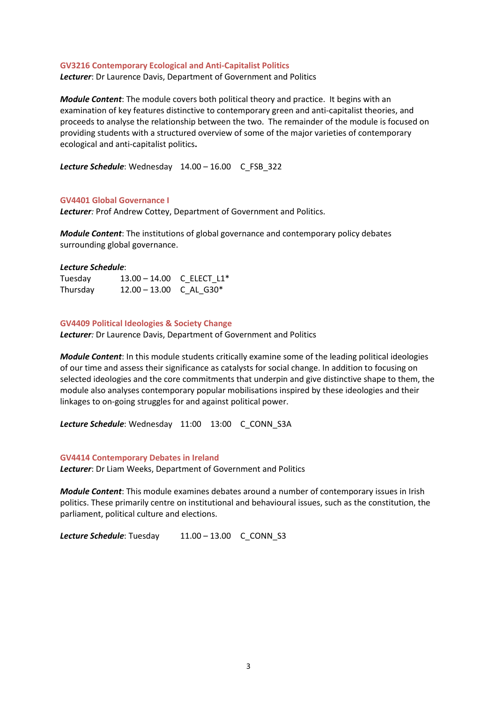#### **GV3216 Contemporary Ecological and Anti-Capitalist Politics**

*Lecturer*: Dr Laurence Davis, Department of Government and Politics

*Module Content*: The module covers both political theory and practice. It begins with an examination of key features distinctive to contemporary green and anti-capitalist theories, and proceeds to analyse the relationship between the two. The remainder of the module is focused on providing students with a structured overview of some of the major varieties of contemporary ecological and anti-capitalist politics**.**

Lecture Schedule: Wednesday 14.00 – 16.00 C FSB 322

## **GV4401 Global Governance I**

*Lecturer:* Prof Andrew Cottey, Department of Government and Politics.

*Module Content*: The institutions of global governance and contemporary policy debates surrounding global governance.

#### *Lecture Schedule*:

| Tuesday  | 13.00 - 14.00 C ELECT L1*             |  |
|----------|---------------------------------------|--|
| Thursday | $12.00 - 13.00$ C AL G30 <sup>*</sup> |  |

#### **GV4409 Political Ideologies & Society Change**

*Lecturer:* Dr Laurence Davis, Department of Government and Politics

*Module Content*: In this module students critically examine some of the leading political ideologies of our time and assess their significance as catalysts for social change. In addition to focusing on selected ideologies and the core commitments that underpin and give distinctive shape to them, the module also analyses contemporary popular mobilisations inspired by these ideologies and their linkages to on-going struggles for and against political power.

Lecture Schedule: Wednesday 11:00 13:00 C CONN S3A

#### **GV4414 Contemporary Debates in Ireland**

*Lecturer*: Dr Liam Weeks, Department of Government and Politics

*Module Content*: This module examines debates around a number of contemporary issues in Irish politics. These primarily centre on institutional and behavioural issues, such as the constitution, the parliament, political culture and elections.

Lecture Schedule: Tuesday 11.00 – 13.00 C\_CONN\_S3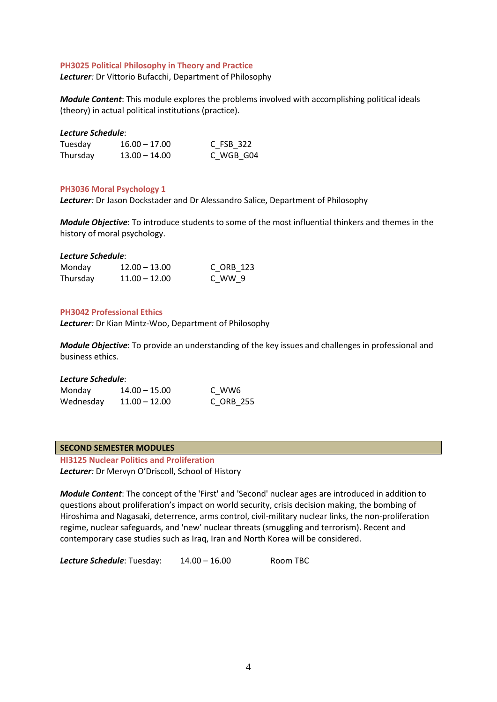## **PH3025 Political Philosophy in Theory and Practice**

*Lecturer:* Dr Vittorio Bufacchi, Department of Philosophy

*Module Content*: This module explores the problems involved with accomplishing political ideals (theory) in actual political institutions (practice).

## *Lecture Schedule*:

| Tuesday  | $16.00 - 17.00$ | C FSB 322 |
|----------|-----------------|-----------|
| Thursday | $13.00 - 14.00$ | C_WGB_G04 |

## **PH3036 Moral Psychology 1**

*Lecturer:* Dr Jason Dockstader and Dr Alessandro Salice, Department of Philosophy

*Module Objective*: To introduce students to some of the most influential thinkers and themes in the history of moral psychology.

## *Lecture Schedule*:

| Monday   | $12.00 - 13.00$ | C ORB 123 |
|----------|-----------------|-----------|
| Thursday | $11.00 - 12.00$ | C WW 9    |

## **PH3042 Professional Ethics**

*Lecturer:* Dr Kian Mintz-Woo, Department of Philosophy

*Module Objective*: To provide an understanding of the key issues and challenges in professional and business ethics.

## *Lecture Schedule*:

| Monday    | $14.00 - 15.00$ | C WW6     |
|-----------|-----------------|-----------|
| Wednesday | $11.00 - 12.00$ | C ORB 255 |

## **SECOND SEMESTER MODULES**

**HI3125 Nuclear Politics and Proliferation**  *Lecturer:* Dr Mervyn O'Driscoll, School of History

*Module Content*: The concept of the 'First' and 'Second' nuclear ages are introduced in addition to questions about proliferation's impact on world security, crisis decision making, the bombing of Hiroshima and Nagasaki, deterrence, arms control, civil-military nuclear links, the non-proliferation regime, nuclear safeguards, and 'new' nuclear threats (smuggling and terrorism). Recent and contemporary case studies such as Iraq, Iran and North Korea will be considered.

Lecture Schedule: Tuesday: 14.00 – 16.00 Room TBC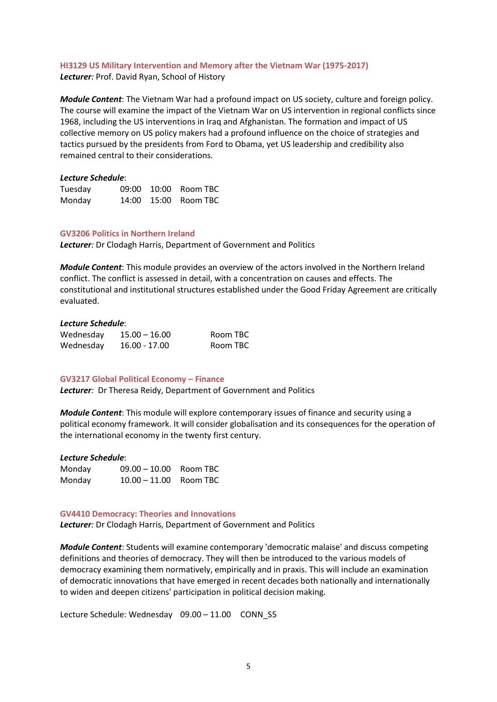# **HI3129 US Military Intervention and Memory after the Vietnam War (1975-2017)**

*Lecturer:* Prof. David Ryan, School of History

*Module Content*: The Vietnam War had a profound impact on US society, culture and foreign policy. The course will examine the impact of the Vietnam War on US intervention in regional conflicts since 1968, including the US interventions in Iraq and Afghanistan. The formation and impact of US collective memory on US policy makers had a profound influence on the choice of strategies and tactics pursued by the presidents from Ford to Obama, yet US leadership and credibility also remained central to their considerations.

## *Lecture Schedule*:

| Tuesday |  | 09:00 10:00 Room TBC     |
|---------|--|--------------------------|
| Monday  |  | 14:00   15:00   Room TBC |

## **GV3206 Politics in Northern Ireland**

*Lecturer:* Dr Clodagh Harris, Department of Government and Politics

*Module Content*: This module provides an overview of the actors involved in the Northern Ireland conflict. The conflict is assessed in detail, with a concentration on causes and effects. The constitutional and institutional structures established under the Good Friday Agreement are critically evaluated.

## *Lecture Schedule*:

| Wednesday | $15.00 - 16.00$ | Room TBC |
|-----------|-----------------|----------|
| Wednesday | 16.00 - 17.00   | Room TBC |

## **GV3217 Global Political Economy – Finance**

*Lecturer:* Dr Theresa Reidy, Department of Government and Politics

*Module Content*: This module will explore contemporary issues of finance and security using a political economy framework. It will consider globalisation and its consequences for the operation of the international economy in the twenty first century.

## *Lecture Schedule*:

| Monday | $09.00 - 10.00$ Room TBC |  |
|--------|--------------------------|--|
| Monday | $10.00 - 11.00$ Room TBC |  |

## **GV4410 Democracy: Theories and Innovations**

*Lecturer:* Dr Clodagh Harris, Department of Government and Politics

*Module Content*: Students will examine contemporary 'democratic malaise' and discuss competing definitions and theories of democracy. They will then be introduced to the various models of democracy examining them normatively, empirically and in praxis. This will include an examination of democratic innovations that have emerged in recent decades both nationally and internationally to widen and deepen citizens' participation in political decision making.

Lecture Schedule: Wednesday 09.00 - 11.00 CONN\_S5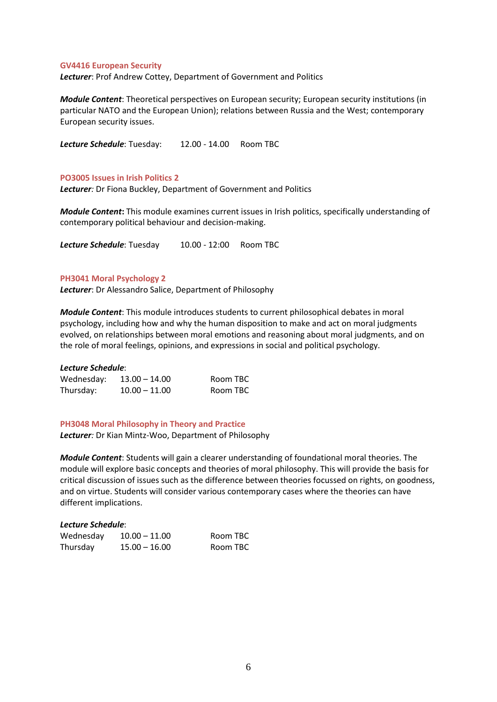## **GV4416 European Security**

*Lecturer*: Prof Andrew Cottey, Department of Government and Politics

*Module Content*: Theoretical perspectives on European security; European security institutions (in particular NATO and the European Union); relations between Russia and the West; contemporary European security issues.

Lecture Schedule: Tuesday: 12.00 - 14.00 Room TBC

## **PO3005 Issues in Irish Politics 2**

*Lecturer:* Dr Fiona Buckley, Department of Government and Politics

*Module Content***:** This module examines current issues in Irish politics, specifically understanding of contemporary political behaviour and decision-making.

Lecture Schedule: Tuesday 10.00 - 12:00 Room TBC

## **PH3041 Moral Psychology 2**

*Lecturer*: Dr Alessandro Salice, Department of Philosophy

*Module Content*: This module introduces students to current philosophical debates in moral psychology, including how and why the human disposition to make and act on moral judgments evolved, on relationships between moral emotions and reasoning about moral judgments, and on the role of moral feelings, opinions, and expressions in social and political psychology.

## *Lecture Schedule*:

| Wednesday: | $13.00 - 14.00$ | Room TBC |
|------------|-----------------|----------|
| Thursday:  | $10.00 - 11.00$ | Room TBC |

**PH3048 Moral Philosophy in Theory and Practice** *Lecturer:* Dr Kian Mintz-Woo, Department of Philosophy

*Module Content*: Students will gain a clearer understanding of foundational moral theories. The module will explore basic concepts and theories of moral philosophy. This will provide the basis for critical discussion of issues such as the difference between theories focussed on rights, on goodness, and on virtue. Students will consider various contemporary cases where the theories can have different implications.

## *Lecture Schedule*:

| Wednesday | $10.00 - 11.00$ | Room TBC |
|-----------|-----------------|----------|
| Thursday  | $15.00 - 16.00$ | Room TBC |